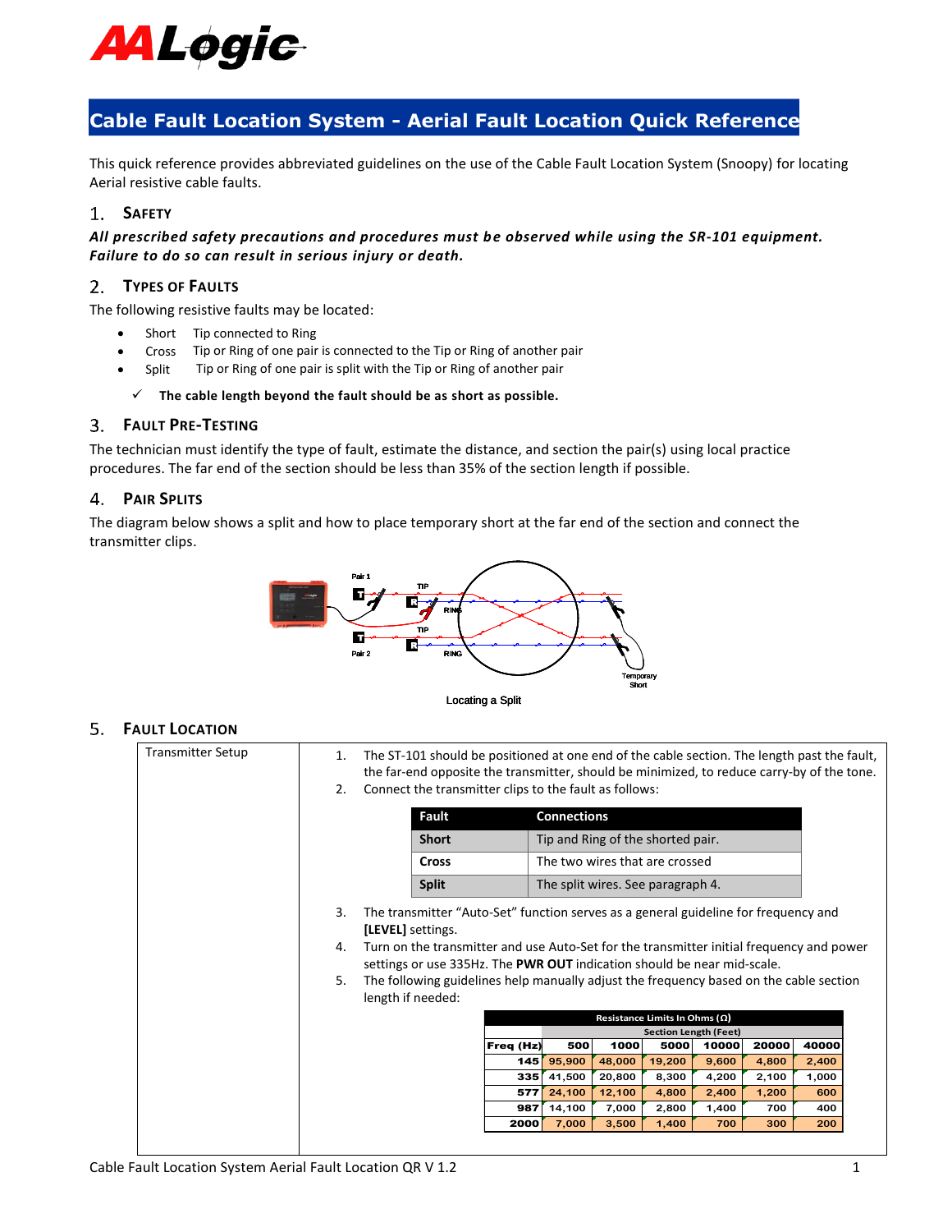

# **Cable Fault Location System - Aerial Fault Location Quick Reference**

This quick reference provides abbreviated guidelines on the use of the Cable Fault Location System (Snoopy) for locating Aerial resistive cable faults.

## **SAFETY**

*All prescribed safety precautions and procedures must be observed while using the SR-101 equipment. Failure to do so can result in serious injury or death.* 

## **TYPES OF FAULTS**

The following resistive faults may be located:

- Short Tip connected to Ring
- Cross Tip or Ring of one pair is connected to the Tip or Ring of another pair
- Split Tip or Ring of one pair is split with the Tip or Ring of another pair

#### ✓ **The cable length beyond the fault should be as short as possible.**

#### **FAULT PRE-TESTING**

The technician must identify the type of fault, estimate the distance, and section the pair(s) using local practice procedures. The far end of the section should be less than 35% of the section length if possible.

### <span id="page-0-0"></span>**PAIR SPLITS**

The diagram below shows a split and how to place temporary short at the far end of the section and connect the transmitter clips.



#### **FAULT LOCATION**

| <b>Transmitter Setup</b> | 1. | The ST-101 should be positioned at one end of the cable section. The length past the fault,<br>the far-end opposite the transmitter, should be minimized, to reduce carry-by of the tone. |              |            |                                |                  |                                   |                |                |              |  |
|--------------------------|----|-------------------------------------------------------------------------------------------------------------------------------------------------------------------------------------------|--------------|------------|--------------------------------|------------------|-----------------------------------|----------------|----------------|--------------|--|
|                          | 2. | Connect the transmitter clips to the fault as follows:                                                                                                                                    |              |            |                                |                  |                                   |                |                |              |  |
|                          |    |                                                                                                                                                                                           | <b>Fault</b> |            | <b>Connections</b>             |                  |                                   |                |                |              |  |
|                          |    |                                                                                                                                                                                           | <b>Short</b> |            |                                |                  | Tip and Ring of the shorted pair. |                |                |              |  |
|                          |    |                                                                                                                                                                                           | <b>Cross</b> |            | The two wires that are crossed |                  |                                   |                |                |              |  |
|                          |    |                                                                                                                                                                                           | <b>Split</b> |            |                                |                  | The split wires. See paragraph 4. |                |                |              |  |
|                          | 3. | The transmitter "Auto-Set" function serves as a general guideline for frequency and<br>[LEVEL] settings.                                                                                  |              |            |                                |                  |                                   |                |                |              |  |
|                          | 4. | Turn on the transmitter and use Auto-Set for the transmitter initial frequency and power<br>settings or use 335Hz. The PWR OUT indication should be near mid-scale.                       |              |            |                                |                  |                                   |                |                |              |  |
|                          | 5. | The following guidelines help manually adjust the frequency based on the cable section<br>length if needed:                                                                               |              |            |                                |                  |                                   |                |                |              |  |
|                          |    | Resistance Limits In Ohms $(\Omega)$                                                                                                                                                      |              |            |                                |                  |                                   |                |                |              |  |
|                          |    |                                                                                                                                                                                           |              |            |                                |                  | <b>Section Length (Feet)</b>      |                |                |              |  |
|                          |    |                                                                                                                                                                                           |              | Freq (Hz)  | 500                            | 1000             | 5000                              | 10000          | 20000          | 40000        |  |
|                          |    |                                                                                                                                                                                           |              | 145        | 95,900                         | 48,000           | 19,200                            | 9,600          | 4,800          | 2,400        |  |
|                          |    |                                                                                                                                                                                           |              | 335<br>577 | 41,500<br>24,100               | 20,800<br>12,100 | 8,300<br>4,800                    | 4,200<br>2,400 | 2,100<br>1,200 | 1,000<br>600 |  |
|                          |    |                                                                                                                                                                                           |              | 987        | 14,100                         | 7,000            | 2,800                             | 1,400          | 700            | 400          |  |
|                          |    |                                                                                                                                                                                           |              | 2000       | 7,000                          | 3,500            | 1,400                             | 700            | 300            | 200          |  |